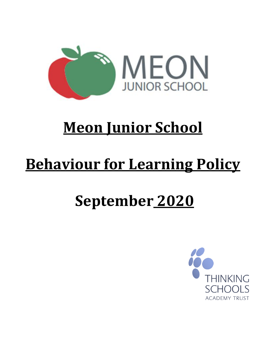

# **Meon Junior School**

# **Behaviour for Learning Policy**

# **September 2020**

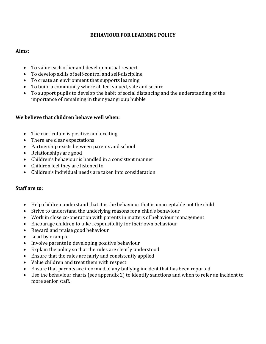#### **BEHAVIOUR FOR LEARNING POLICY**

#### **Aims:**

- To value each other and develop mutual respect
- To develop skills of self-control and self-discipline
- To create an environment that supports learning
- To build a community where all feel valued, safe and secure
- To support pupils to develop the habit of social distancing and the understanding of the importance of remaining in their year group bubble

#### **We believe that children behave well when:**

- The curriculum is positive and exciting
- There are clear expectations
- Partnership exists between parents and school
- Relationships are good
- Children's behaviour is handled in a consistent manner
- Children feel they are listened to
- Children's individual needs are taken into consideration

#### **Staff are to:**

- Help children understand that it is the behaviour that is unacceptable not the child
- Strive to understand the underlying reasons for a child's behaviour
- Work in close co-operation with parents in matters of behaviour management
- Encourage children to take responsibility for their own behaviour
- Reward and praise good behaviour
- Lead by example
- Involve parents in developing positive behaviour
- Explain the policy so that the rules are clearly understood
- Ensure that the rules are fairly and consistently applied
- Value children and treat them with respect
- Ensure that parents are informed of any bullying incident that has been reported
- Use the behaviour charts (see appendix 2) to identify sanctions and when to refer an incident to more senior staff.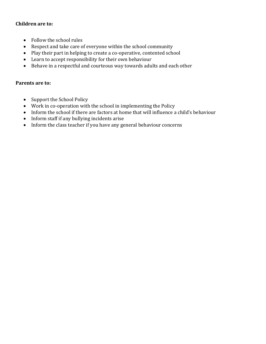#### **Children are to:**

- Follow the school rules
- Respect and take care of everyone within the school community
- Play their part in helping to create a co-operative, contented school
- Learn to accept responsibility for their own behaviour
- Behave in a respectful and courteous way towards adults and each other

#### **Parents are to:**

- Support the School Policy
- Work in co-operation with the school in implementing the Policy
- Inform the school if there are factors at home that will influence a child's behaviour
- Inform staff if any bullying incidents arise
- Inform the class teacher if you have any general behaviour concerns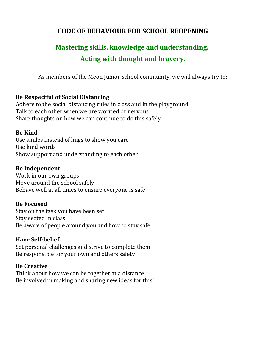# **CODE OF BEHAVIOUR FOR SCHOOL REOPENING**

# **Mastering skills, knowledge and understanding. Acting with thought and bravery.**

As members of the Meon Junior School community, we will always try to:

### **Be Respectful of Social Distancing**

Adhere to the social distancing rules in class and in the playground Talk to each other when we are worried or nervous Share thoughts on how we can continue to do this safely

### **Be Kind**

Use smiles instead of hugs to show you care Use kind words Show support and understanding to each other

### **Be Independent**

Work in our own groups Move around the school safely Behave well at all times to ensure everyone is safe

# **Be Focused**

Stay on the task you have been set Stay seated in class Be aware of people around you and how to stay safe

# **Have Self-belief**

Set personal challenges and strive to complete them Be responsible for your own and others safety

#### **Be Creative**

Think about how we can be together at a distance Be involved in making and sharing new ideas for this!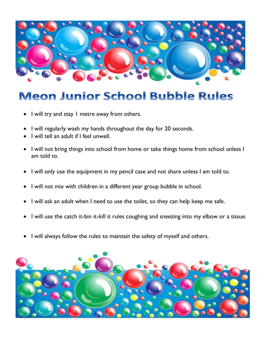

# **Meon Junior School Bubble Rules**

- I will try and stay I metre away from others.
- I will regularly wash my hands throughout the day for 20 seconds.
- I will tell an adult if I feel unwell.
- I will not bring things into school from home or take things home from school unless I am told to.
- I will only use the equipment in my pencil case and not share unless I am told to.
- I will not mix with children in a different year group bubble in school.
- I will ask an adult when I need to use the toilet, so they can help keep me safe.
- I will use the catch it-bin it-kill it rules coughing and sneezing into my elbow or a tissue.
- I will always follow the rules to maintain the safety of myself and others.

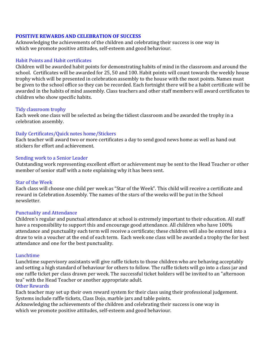#### **POSITIVE REWARDS AND CELEBRATION OF SUCCESS**

Acknowledging the achievements of the children and celebrating their success is one way in which we promote positive attitudes, self-esteem and good behaviour.

#### Habit Points and Habit certificates

Children will be awarded habit points for demonstrating habits of mind in the classroom and around the school. Certificates will be awarded for 25, 50 and 100. Habit points will count towards the weekly house trophy which will be presented in celebration assembly to the house with the most points. Names must be given to the school office so they can be recorded. Each fortnight there will be a habit certificate will be awarded in the habits of mind assembly. Class teachers and other staff members will award certificates to children who show specific habits.

#### Tidy classroom trophy

Each week one class will be selected as being the tidiest classroom and be awarded the trophy in a celebration assembly.

#### Daily Certificates/Quick notes home/Stickers

Each teacher will award two or more certificates a day to send good news home as well as hand out stickers for effort and achievement.

#### Sending work to a Senior Leader

Outstanding work representing excellent effort or achievement may be sent to the Head Teacher or other member of senior staff with a note explaining why it has been sent.

#### Star of the Week

Each class will choose one child per week as "Star of the Week". This child will receive a certificate and reward in Celebration Assembly. The names of the stars of the weeks will be put in the School newsletter.

#### Punctuality and Attendance

Children's regular and punctual attendance at school is extremely important to their education. All staff have a responsibility to support this and encourage good attendance. All children who have 100% attendance and punctuality each term will receive a certificate; these children will also be entered into a draw to win a voucher at the end of each term. Each week one class will be awarded a trophy the for best attendance and one for the best punctuality.

#### Lunchtime

Lunchtime supervisory assistants will give raffle tickets to those children who are behaving acceptably and setting a high standard of behaviour for others to follow. The raffle tickets will go into a class jar and one raffle ticket per class drawn per week. The successful ticket holders will be invited to an "afternoon tea" with the Head Teacher or another appropriate adult.

#### Other Rewards

Each teacher may set up their own reward system for their class using their professional judgement. Systems include raffle tickets, Class Dojo, marble jars and table points.

Acknowledging the achievements of the children and celebrating their success is one way in which we promote positive attitudes, self-esteem and good behaviour.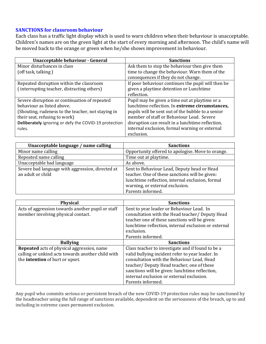#### **SANCTIONS for classroom behaviour**

Each class has a traffic light display which is used to warn children when their behaviour is unacceptable. Children's names are on the green light at the start of every morning and afternoon. The child's name will be moved back to the orange or green when he/she shows improvement in behaviour.

| Unacceptable behaviour - General                      | <b>Sanctions</b>                                   |
|-------------------------------------------------------|----------------------------------------------------|
| Minor disturbances in class                           | Ask them to stop the behaviour then give them      |
| (off task, talking)                                   | time to change the behaviour. Warn them of the     |
|                                                       | consequences if they do not change.                |
| Repeated disruption within the classroom              | If poor behaviour continues the pupil will then be |
| (interrupting teacher, distracting others)            | given a playtime detention or Lunchtime            |
|                                                       | reflection.                                        |
| Severe disruption or continuation of repeated         | Pupil may be given a time out at playtime or a     |
| behaviour as listed above.                            | lunchtime reflection. In extreme circumstances,    |
| (Shouting, rudeness to the teacher, not staying in    | pupils will be sent out of the bubble to a senior  |
| their seat, refusing to work)                         | member of staff or Behaviour Lead. Severe          |
| Deliberately ignoring or defy the COVID-19 protection | disruption can result in a lunchtime reflection,   |
| rules.                                                | internal exclusion, formal warning or external     |
|                                                       | exclusion.                                         |

| Unacceptable language / name calling                                  | <b>Sanctions</b>                                                                                                                                                                     |
|-----------------------------------------------------------------------|--------------------------------------------------------------------------------------------------------------------------------------------------------------------------------------|
| Minor name calling                                                    | Opportunity offered to apologise. Move to orange.                                                                                                                                    |
| Repeated name calling                                                 | Time out at playtime.                                                                                                                                                                |
| Unacceptable bad language                                             | As above.                                                                                                                                                                            |
| Severe bad language with aggression, directed at<br>an adult or child | Sent to Behaviour Lead, Deputy head or Head<br>teacher. One of these sanctions will be given:<br>lunchtime reflection, internal exclusion, formal<br>warning, or external exclusion. |
|                                                                       | Parents informed.                                                                                                                                                                    |

| <b>Physical</b>                                   | <b>Sanctions</b>                                     |
|---------------------------------------------------|------------------------------------------------------|
| Acts of aggression towards another pupil or staff | Sent to year leader or Behaviour Lead. In            |
| member involving physical contact.                | consultation with the Head teacher/ Deputy Head      |
|                                                   | teacher one of these sanctions will be given:        |
|                                                   | lunchtime reflection, internal exclusion or external |
|                                                   | exclusion.                                           |
|                                                   | Parents informed.                                    |
| <b>Bullying</b>                                   | <b>Sanctions</b>                                     |
| Repeated acts of physical aggression, name        | Class teacher to investigate and if found to be a    |
| calling or unkind acts towards another child with | valid bullying incident refer to year leader. In     |
| the intention of hurt or upset.                   | consultation with the Behaviour Lead, Head           |
|                                                   | teacher/ Deputy Head teacher, one of these           |
|                                                   | sanctions will be given: lunchtime reflection,       |
|                                                   | internal exclusion or external exclusion.            |
|                                                   | Parents informed.                                    |

Any pupil who commits serious or persistent breach of the new COVID-19 protection rules may be sanctioned by the headteacher using the full range of sanctions available, dependent on the seriousness of the breach, up to and including in extreme cases permanent exclusion.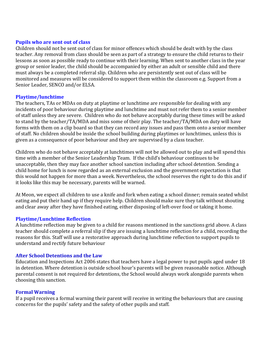#### **Pupils who are sent out of class**

Children should not be sent out of class for minor offences which should be dealt with by the class teacher. Any removal from class should be seen as part of a strategy to ensure the child returns to their lessons as soon as possible ready to continue with their learning. When sent to another class in the year group or senior leader, the child should be accompanied by either an adult or sensible child and there must always be a completed referral slip. Children who are persistently sent out of class will be monitored and measures will be considered to support them within the classroom e.g. Support from a Senior Leader, SENCO and/or ELSA.

#### **Playtime/lunchtime**

The teachers, TAs or MDAs on duty at playtime or lunchtime are responsible for dealing with any incidents of poor behaviour during playtime and lunchtime and must not refer them to a senior member of staff unless they are severe. Children who do not behave acceptably during these times will be asked to stand by the teacher/TA/MDA and miss some of their play. The teacher/TA/MDA on duty will have forms with them on a clip board so that they can record any issues and pass them onto a senior member of staff. No children should be inside the school building during playtimes or lunchtimes, unless this is given as a consequence of poor behaviour and they are supervised by a class teacher.

Children who do not behave acceptably at lunchtimes will not be allowed out to play and will spend this time with a member of the Senior Leadership Team. If the child's behaviour continues to be unacceptable, then they may face another school sanction including after school detention. Sending a child home for lunch is now regarded as an external exclusion and the government expectation is that this would not happen for more than a week. Nevertheless, the school reserves the right to do this and if it looks like this may be necessary, parents will be warned.

At Meon, we expect all children to use a knife and fork when eating a school dinner; remain seated whilst eating and put their hand up if they require help. Children should make sure they talk without shouting and clear away after they have finished eating, either disposing of left-over food or taking it home.

#### **Playtime/Lunchtime Reflection**

A lunchtime reflection may be given to a child for reasons mentioned in the sanctions grid above. A class teacher should complete a referral slip if they are issuing a lunchtime reflection for a child, recording the reasons for this. Staff will use a restorative approach during lunchtime reflection to support pupils to understand and rectify future behaviour

#### **After School Detentions and the Law**

Education and Inspections Act 2006 states that teachers have a legal power to put pupils aged under 18 in detention. Where detention is outside school hour's parents will be given reasonable notice. Although parental consent is not required for detentions, the School would always work alongside parents when choosing this sanction.

#### **Formal Warning**

If a pupil receives a formal warning their parent will receive in writing the behaviours that are causing concerns for the pupils' safety and the safety of other pupils and staff.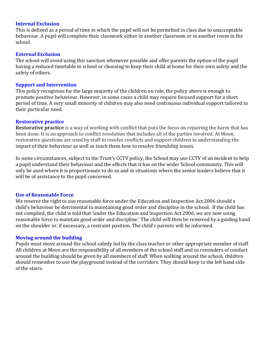#### **Internal Exclusion**

This is defined as a period of time in which the pupil will not be permitted in class due to unacceptable behaviour. A pupil will complete their classwork either in another classroom or in another room in the school.

#### **External Exclusion**

The school will avoid using this sanction whenever possible and offer parents the option of the pupil having a reduced timetable in school or choosing to keep their child at home for their own safety and the safety of others.

#### **Support and Intervention**

This policy recognises for the large majority of the children on role, the policy above is enough to promote positive behaviour. However, in some cases a child may require focused support for a short period of time. A very small minority of children may also need continuous individual support tailored to their particular need.

#### **Restorative practice**

**Restorative practice** is a way of working with conflict that puts the focus on repairing the harm that has been done. It is an approach to conflict resolution that includes all of the parties involved. At Meon, restorative questions are used by staff to resolve conflicts and support children in understanding the impact of their behaviour as well as teach them how to resolve friendship issues.

In some circumstances, subject to the Trust's CCTV policy, the School may use CCTV of an incident to help a pupil understand their behaviour and the effects that it has on the wider School community. This will only be used where it is proportionate to do so and in situations where the senior leaders believe that it will be of assistance to the pupil concerned.

#### **Use of Reasonable Force**

We reserve the right to use reasonable force under the Education and Inspection Act 2006 should a child's behaviour be detrimental to maintaining good order and discipline in the school. If the child has not complied, the child is told that 'under the Education and Inspection Act 2006, we are now using reasonable force to maintain good order and discipline.' The child will then be removed by a guiding hand on the shoulder or, if necessary, a restraint position. The child's parents will be informed.

#### **Moving around the building**

Pupils must move around the school calmly led by the class teacher or other appropriate member of staff. All children at Meon are the responsibility of all members of the school staff and so reminders of conduct around the building should be given by all members of staff. When walking around the school, children should remember to use the playground instead of the corridors. They should keep to the left hand side of the stairs.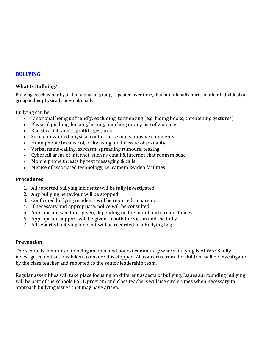#### **BULLYING**

#### **What Is Bullying?**

Bullying is behaviour by an individual or group, repeated over time, that intentionally hurts another individual or group either physically or emotionally.

Bullying can be:

- Emotional being unfriendly, excluding, tormenting (e.g. hiding books, threatening gestures)
- Physical pushing, kicking, hitting, punching or any use of violence
- Racist racial taunts, graffiti, gestures
- Sexual unwanted physical contact or sexually abusive comments
- Homophobic because of, or focusing on the issue of sexuality
- Verbal name-calling, sarcasm, spreading rumours, teasing
- Cyber All areas of internet, such as email & internet chat room misuse
- Mobile phone threats by text messaging & calls
- Misuse of associated technology, i.e. camera &video facilities

#### **Procedures**

- 1. All reported bullying incidents will be fully investigated.
- 2. Any bullying behaviour will be stopped.
- 3. Confirmed bullying incidents will be reported to parents.
- 4. If necessary and appropriate, police will be consulted.
- 5. Appropriate sanctions given, depending on the intent and circumstances.
- 6. Appropriate support will be given to both the victim and the bully.
- 7. All reported bullying incident will be recorded in a Bullying Log.

#### **Prevention**

The school is committed to being an open and honest community where bullying is ALWAYS fully investigated and actions taken to ensure it is stopped. All concerns from the children will be investigated by the class teacher and reported to the senior leadership team.

Regular assemblies will take place focusing on different aspects of bullying. Issues surrounding bullying will be part of the schools PSHE program and class teachers will use circle times when necessary to approach bullying issues that may have arisen.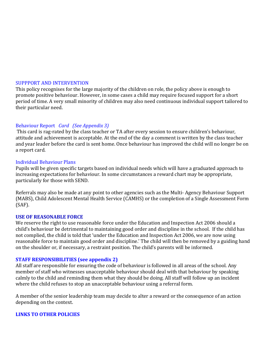#### SUPPPORT AND INTERVENTION

This policy recognises for the large majority of the children on role, the policy above is enough to promote positive behaviour. However, in some cases a child may require focused support for a short period of time. A very small minority of children may also need continuous individual support tailored to their particular need.

#### Behaviour Report *Card (See Appendix 3)*

This card is rag-rated by the class teacher or TA after every session to ensure children's behaviour, attitude and achievement is acceptable. At the end of the day a comment is written by the class teacher and year leader before the card is sent home. Once behaviour has improved the child will no longer be on a report card.

#### Individual Behaviour Plans

Pupils will be given specific targets based on individual needs which will have a graduated approach to increasing expectations for behaviour. In some circumstances a reward chart may be appropriate, particularly for those with SEND.

Referrals may also be made at any point to other agencies such as the Multi- Agency Behaviour Support (MABS), Child Adolescent Mental Health Service (CAMHS) or the completion of a Single Assessment Form (SAF).

#### **USE OF REASONABLE FORCE**

We reserve the right to use reasonable force under the Education and Inspection Act 2006 should a child's behaviour be detrimental to maintaining good order and discipline in the school. If the child has not complied, the child is told that 'under the Education and Inspection Act 2006, we are now using reasonable force to maintain good order and discipline.' The child will then be removed by a guiding hand on the shoulder or, if necessary, a restraint position. The child's parents will be informed.

#### **STAFF RESPONSIBILITIES (see appendix 2)**

All staff are responsible for ensuring the code of behaviour is followed in all areas of the school. Any member of staff who witnesses unacceptable behaviour should deal with that behaviour by speaking calmly to the child and reminding them what they should be doing. All staff will follow up an incident where the child refuses to stop an unacceptable behaviour using a referral form.

A member of the senior leadership team may decide to alter a reward or the consequence of an action depending on the context.

#### **LINKS TO OTHER POLICIES**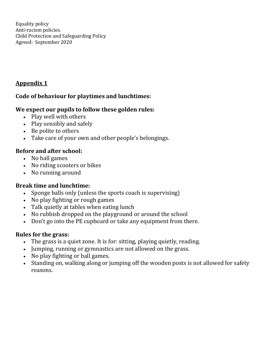Equality policy Anti-racism policies. Child Protection and Safeguarding Policy Agreed: September 2020

# **Appendix 1**

# **Code of behaviour for playtimes and lunchtimes:**

# **We expect our pupils to follow these golden rules:**

- Play well with others
- Play sensibly and safely
- Be polite to others
- Take care of your own and other people's belongings.

# **Before and after school:**

- No ball games
- No riding scooters or bikes
- No running around

# **Break time and lunchtime:**

- Sponge balls only (unless the sports coach is supervising)
- No play fighting or rough games
- Talk quietly at tables when eating lunch
- No rubbish dropped on the playground or around the school
- Don't go into the PE cupboard or take any equipment from there.

# **Rules for the grass:**

- The grass is a quiet zone. It is for: sitting, playing quietly, reading.
- Jumping, running or gymnastics are not allowed on the grass.
- No play fighting or ball games.
- Standing on, walking along or jumping off the wooden posts is not allowed for safety reasons.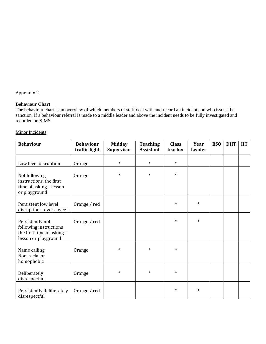#### Appendix 2

#### **Behaviour Chart**

The behaviour chart is an overview of which members of staff deal with and record an incident and who issues the sanction. If a behaviour referral is made to a middle leader and above the incident needs to be fully investigated and recorded on SIMS.

#### Minor Incidents

| <b>Behaviour</b>                                                                                 | <b>Behaviour</b><br>traffic light | <b>Midday</b><br><b>Supervisor</b> | <b>Teaching</b><br><b>Assistant</b> | <b>Class</b><br>teacher | Year<br>Leader | <b>BSO</b> | <b>DHT</b> | <b>HT</b> |
|--------------------------------------------------------------------------------------------------|-----------------------------------|------------------------------------|-------------------------------------|-------------------------|----------------|------------|------------|-----------|
|                                                                                                  |                                   |                                    |                                     |                         |                |            |            |           |
| Low level disruption                                                                             | Orange                            | $\ast$                             | $\ast$                              | $\ast$                  |                |            |            |           |
| Not following<br>Orange<br>instructions, the first<br>time of asking - lesson<br>or playground   |                                   | $\ast$                             | $\ast$                              | $\ast$                  |                |            |            |           |
| Persistent low level<br>disruption - over a week                                                 | Orange / red                      |                                    |                                     | $\ast$                  | $\ast$         |            |            |           |
| Persistently not<br>following instructions<br>the first time of asking -<br>lesson or playground | Orange / red                      |                                    |                                     | $\ast$                  | $\ast$         |            |            |           |
| Name calling<br>Non-racial or<br>homophobic                                                      | Orange                            | $\ast$                             | $\ast$                              | $\ast$                  |                |            |            |           |
| Deliberately<br>disrespectful                                                                    | Orange                            | $\ast$                             | $\ast$                              | $\ast$                  |                |            |            |           |
| Persistently deliberately<br>disrespectful                                                       | Orange / red                      |                                    |                                     | $\ast$                  | $\ast$         |            |            |           |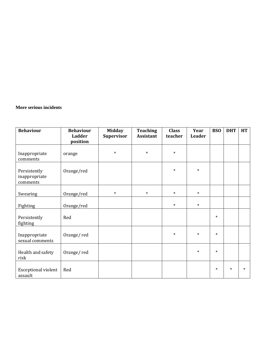#### **More serious incidents**

| <b>Behaviour</b>                          | <b>Behaviour</b><br><b>Ladder</b> | <b>Midday</b><br><b>Supervisor</b> | <b>Teaching</b><br><b>Assistant</b> | <b>Class</b><br>teacher | Year<br><b>Leader</b> | <b>BSO</b> | <b>DHT</b> | <b>HT</b> |
|-------------------------------------------|-----------------------------------|------------------------------------|-------------------------------------|-------------------------|-----------------------|------------|------------|-----------|
|                                           | position                          |                                    |                                     |                         |                       |            |            |           |
| Inappropriate<br>comments                 | orange                            | $\ast$                             | $\ast$                              | $\ast$                  |                       |            |            |           |
| Persistently<br>inappropriate<br>comments | Orange/red                        |                                    |                                     | $\ast$                  | $\ast$                |            |            |           |
| Swearing                                  | Orange/red                        | $\ast$                             | $\ast$                              | $\ast$                  | $\ast$                |            |            |           |
| Fighting                                  | Orange/red                        |                                    |                                     | $\ast$                  | $\ast$                |            |            |           |
| Persistently<br>fighting                  | Red                               |                                    |                                     |                         |                       | $\ast$     |            |           |
| Inappropriate<br>sexual comments          | Orange/red                        |                                    |                                     | $\ast$                  | $\ast$                | $\ast$     |            |           |
| Health and safety<br>risk                 | Orange/red                        |                                    |                                     |                         | $\ast$                | $\ast$     |            |           |
| <b>Exceptional violent</b><br>assault     | Red                               |                                    |                                     |                         |                       | $\ast$     | $\ast$     | $\ast$    |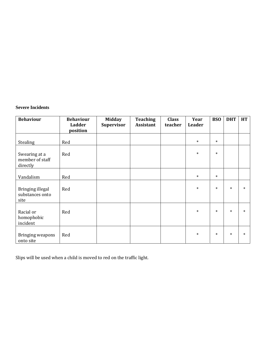#### **Severe Incidents**

| <b>Behaviour</b>                             | <b>Behaviour</b><br>Ladder<br>position | <b>Midday</b><br><b>Supervisor</b> | <b>Teaching</b><br><b>Assistant</b> | <b>Class</b><br>teacher | Year<br>Leader | <b>BSO</b> | <b>DHT</b> | HT     |
|----------------------------------------------|----------------------------------------|------------------------------------|-------------------------------------|-------------------------|----------------|------------|------------|--------|
| Stealing                                     | Red                                    |                                    |                                     |                         | $\ast$         | $\ast$     |            |        |
| Swearing at a<br>member of staff<br>directly | Red                                    |                                    |                                     |                         | $\ast$         | $\ast$     |            |        |
| Vandalism                                    | Red                                    |                                    |                                     |                         | $\ast$         | $\ast$     |            |        |
| Bringing illegal<br>substances onto<br>site  | Red                                    |                                    |                                     |                         | $\ast$         | $\ast$     | $\ast$     | $\ast$ |
| Racial or<br>homophobic<br>incident          | Red                                    |                                    |                                     |                         | $\ast$         | $\ast$     | $\ast$     | $\ast$ |
| Bringing weapons<br>onto site                | Red                                    |                                    |                                     |                         | $\ast$         | $\ast$     | $\ast$     | $\ast$ |

Slips will be used when a child is moved to red on the traffic light.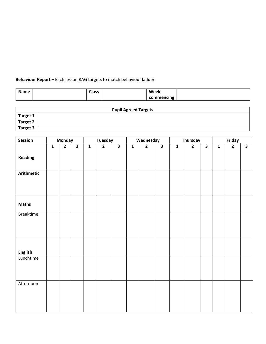#### **Behaviour Report –** Each lesson RAG targets to match behaviour ladder

| <b>Name</b> | <b>Class</b> | Week       |  |
|-------------|--------------|------------|--|
|             |              | commencing |  |

|                 | <b>Pupil Agreed Targets</b> |  |  |  |  |
|-----------------|-----------------------------|--|--|--|--|
| Target 1        |                             |  |  |  |  |
| Target 2        |                             |  |  |  |  |
| <b>Target 3</b> |                             |  |  |  |  |

| Session           |              | <b>Monday</b>  |                         |                | <b>Tuesday</b> |                         |                | Wednesday      |                         |                | Thursday       |                         |              | Friday         |                         |
|-------------------|--------------|----------------|-------------------------|----------------|----------------|-------------------------|----------------|----------------|-------------------------|----------------|----------------|-------------------------|--------------|----------------|-------------------------|
|                   | $\mathbf{1}$ | $\overline{2}$ | $\overline{\mathbf{3}}$ | $\overline{1}$ | $\overline{2}$ | $\overline{\mathbf{3}}$ | $\overline{1}$ | $\overline{2}$ | $\overline{\mathbf{3}}$ | $\overline{1}$ | $\overline{2}$ | $\overline{\mathbf{3}}$ | $\mathbf{1}$ | $\overline{2}$ | $\overline{\mathbf{3}}$ |
| <b>Reading</b>    |              |                |                         |                |                |                         |                |                |                         |                |                |                         |              |                |                         |
| <b>Arithmetic</b> |              |                |                         |                |                |                         |                |                |                         |                |                |                         |              |                |                         |
| <b>Maths</b>      |              |                |                         |                |                |                         |                |                |                         |                |                |                         |              |                |                         |
| <b>Breaktime</b>  |              |                |                         |                |                |                         |                |                |                         |                |                |                         |              |                |                         |
| <b>English</b>    |              |                |                         |                |                |                         |                |                |                         |                |                |                         |              |                |                         |
| Lunchtime         |              |                |                         |                |                |                         |                |                |                         |                |                |                         |              |                |                         |
| Afternoon         |              |                |                         |                |                |                         |                |                |                         |                |                |                         |              |                |                         |